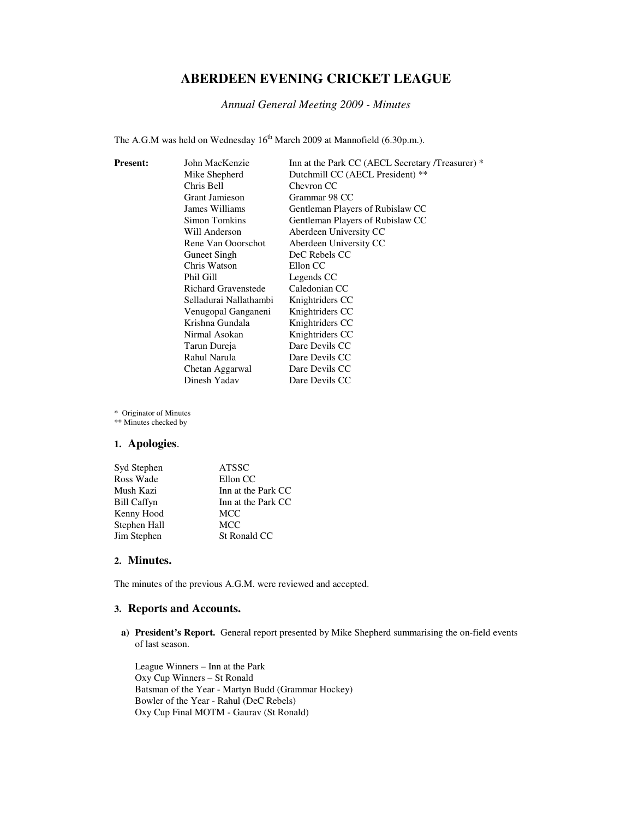# **ABERDEEN EVENING CRICKET LEAGUE**

*Annual General Meeting 2009 - Minutes* 

The A.G.M was held on Wednesday 16<sup>th</sup> March 2009 at Mannofield (6.30p.m.).

| <b>Present:</b> | John MacKenzie             | Inn at the Park CC (AECL Secretary /Treasurer) * |
|-----------------|----------------------------|--------------------------------------------------|
|                 | Mike Shepherd              | Dutchmill CC (AECL President) **                 |
|                 | Chris Bell                 | Chevron CC                                       |
|                 | Grant Jamieson             | Grammar 98 CC                                    |
|                 | James Williams             | Gentleman Players of Rubislaw CC                 |
|                 | Simon Tomkins              | Gentleman Players of Rubislaw CC                 |
|                 | Will Anderson              | Aberdeen University CC                           |
|                 | Rene Van Ooorschot         | Aberdeen University CC                           |
|                 | <b>Guneet Singh</b>        | DeC Rebels CC                                    |
|                 | Chris Watson               | Ellon CC                                         |
|                 | Phil Gill                  | Legends CC                                       |
|                 | <b>Richard Gravenstede</b> | Caledonian CC                                    |
|                 | Selladurai Nallathambi     | Knightriders CC                                  |
|                 | Venugopal Ganganeni        | Knightriders CC                                  |
|                 | Krishna Gundala            | Knightriders CC                                  |
|                 | Nirmal Asokan              | Knightriders CC                                  |
|                 | Tarun Dureja               | Dare Devils CC                                   |
|                 | Rahul Narula               | Dare Devils CC                                   |
|                 | Chetan Aggarwal            | Dare Devils CC                                   |
|                 | Dinesh Yadav               | Dare Devils CC                                   |

\* Originator of Minutes

\*\* Minutes checked by

## **1. Apologies**.

| Syd Stephen        | <b>ATSSC</b>       |
|--------------------|--------------------|
| Ross Wade          | Ellon CC           |
| Mush Kazi          | Inn at the Park CC |
| <b>Bill Caffyn</b> | Inn at the Park CC |
| Kenny Hood         | MCC                |
| Stephen Hall       | <b>MCC</b>         |
| Jim Stephen        | St Ronald CC       |

#### **2. Minutes.**

The minutes of the previous A.G.M. were reviewed and accepted.

## **3. Reports and Accounts.**

**a) President's Report.** General report presented by Mike Shepherd summarising the on-field events of last season.

League Winners – Inn at the Park Oxy Cup Winners – St Ronald Batsman of the Year - Martyn Budd (Grammar Hockey) Bowler of the Year - Rahul (DeC Rebels) Oxy Cup Final MOTM - Gaurav (St Ronald)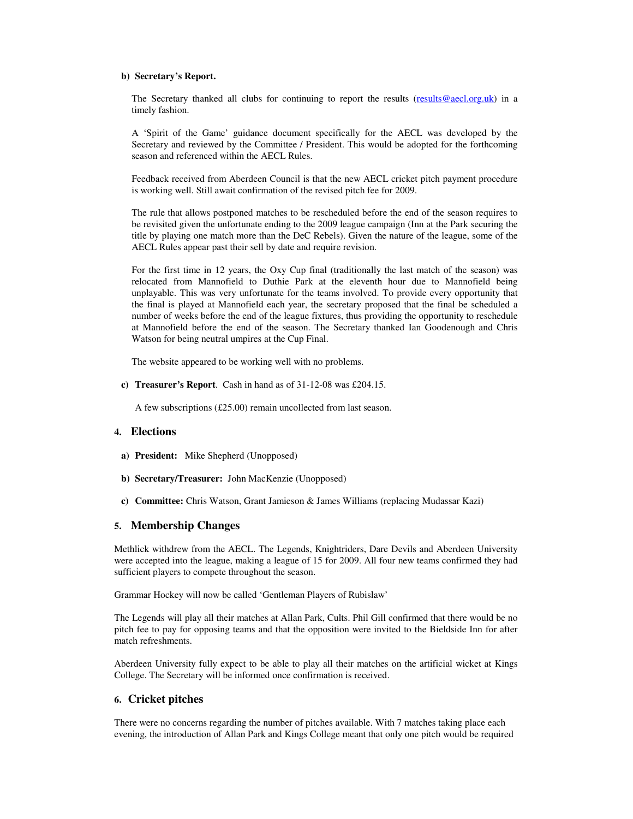#### **b) Secretary's Report.**

The Secretary thanked all clubs for continuing to report the results (results@aecl.org.uk) in a timely fashion.

A 'Spirit of the Game' guidance document specifically for the AECL was developed by the Secretary and reviewed by the Committee / President. This would be adopted for the forthcoming season and referenced within the AECL Rules.

Feedback received from Aberdeen Council is that the new AECL cricket pitch payment procedure is working well. Still await confirmation of the revised pitch fee for 2009.

The rule that allows postponed matches to be rescheduled before the end of the season requires to be revisited given the unfortunate ending to the 2009 league campaign (Inn at the Park securing the title by playing one match more than the DeC Rebels). Given the nature of the league, some of the AECL Rules appear past their sell by date and require revision.

For the first time in 12 years, the Oxy Cup final (traditionally the last match of the season) was relocated from Mannofield to Duthie Park at the eleventh hour due to Mannofield being unplayable. This was very unfortunate for the teams involved. To provide every opportunity that the final is played at Mannofield each year, the secretary proposed that the final be scheduled a number of weeks before the end of the league fixtures, thus providing the opportunity to reschedule at Mannofield before the end of the season. The Secretary thanked Ian Goodenough and Chris Watson for being neutral umpires at the Cup Final.

The website appeared to be working well with no problems.

**c) Treasurer's Report**. Cash in hand as of 31-12-08 was £204.15.

A few subscriptions (£25.00) remain uncollected from last season.

## **4. Elections**

- **a) President:** Mike Shepherd (Unopposed)
- **b) Secretary/Treasurer:** John MacKenzie (Unopposed)
- **c) Committee:** Chris Watson, Grant Jamieson & James Williams (replacing Mudassar Kazi)

#### **5. Membership Changes**

Methlick withdrew from the AECL. The Legends, Knightriders, Dare Devils and Aberdeen University were accepted into the league, making a league of 15 for 2009. All four new teams confirmed they had sufficient players to compete throughout the season.

Grammar Hockey will now be called 'Gentleman Players of Rubislaw'

The Legends will play all their matches at Allan Park, Cults. Phil Gill confirmed that there would be no pitch fee to pay for opposing teams and that the opposition were invited to the Bieldside Inn for after match refreshments.

Aberdeen University fully expect to be able to play all their matches on the artificial wicket at Kings College. The Secretary will be informed once confirmation is received.

## **6. Cricket pitches**

There were no concerns regarding the number of pitches available. With 7 matches taking place each evening, the introduction of Allan Park and Kings College meant that only one pitch would be required